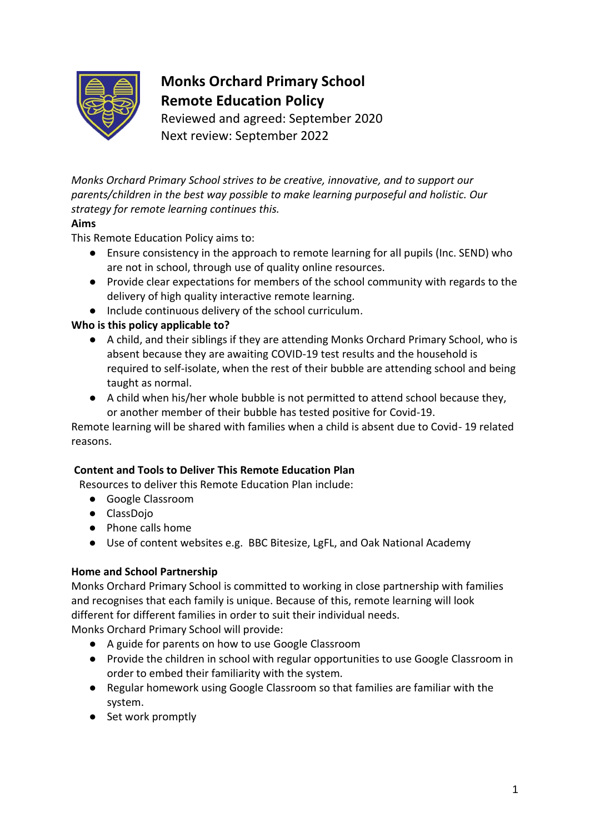

# **Monks Orchard Primary School Remote Education Policy**

Reviewed and agreed: September 2020 Next review: September 2022

*Monks Orchard Primary School strives to be creative, innovative, and to support our parents/children in the best way possible to make learning purposeful and holistic. Our strategy for remote learning continues this.*

## **Aims**

This Remote Education Policy aims to:

- Ensure consistency in the approach to remote learning for all pupils (Inc. SEND) who are not in school, through use of quality online resources.
- Provide clear expectations for members of the school community with regards to the delivery of high quality interactive remote learning.
- Include continuous delivery of the school curriculum.

## **Who is this policy applicable to?**

- A child, and their siblings if they are attending Monks Orchard Primary School, who is absent because they are awaiting COVID-19 test results and the household is required to self-isolate, when the rest of their bubble are attending school and being taught as normal.
- A child when his/her whole bubble is not permitted to attend school because they, or another member of their bubble has tested positive for Covid-19.

Remote learning will be shared with families when a child is absent due to Covid- 19 related reasons.

## **Content and Tools to Deliver This Remote Education Plan**

Resources to deliver this Remote Education Plan include:

- Google Classroom
- ClassDojo
- Phone calls home
- Use of content websites e.g. BBC Bitesize, LgFL, and Oak National Academy

## **Home and School Partnership**

Monks Orchard Primary School is committed to working in close partnership with families and recognises that each family is unique. Because of this, remote learning will look different for different families in order to suit their individual needs.

Monks Orchard Primary School will provide:

- A guide for parents on how to use Google Classroom
- Provide the children in school with regular opportunities to use Google Classroom in order to embed their familiarity with the system.
- Regular homework using Google Classroom so that families are familiar with the system.
- Set work promptly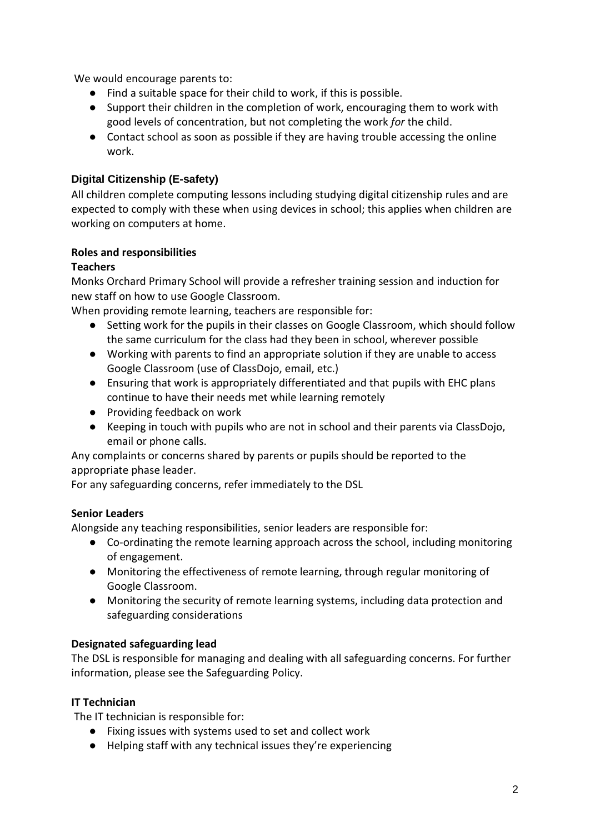We would encourage parents to:

- Find a suitable space for their child to work, if this is possible.
- Support their children in the completion of work, encouraging them to work with good levels of concentration, but not completing the work *for* the child.
- Contact school as soon as possible if they are having trouble accessing the online work.

## **Digital Citizenship (E-safety)**

All children complete computing lessons including studying digital citizenship rules and are expected to comply with these when using devices in school; this applies when children are working on computers at home.

### **Roles and responsibilities**

### **Teachers**

Monks Orchard Primary School will provide a refresher training session and induction for new staff on how to use Google Classroom.

When providing remote learning, teachers are responsible for:

- Setting work for the pupils in their classes on Google Classroom, which should follow the same curriculum for the class had they been in school, wherever possible
- Working with parents to find an appropriate solution if they are unable to access Google Classroom (use of ClassDojo, email, etc.)
- Ensuring that work is appropriately differentiated and that pupils with EHC plans continue to have their needs met while learning remotely
- Providing feedback on work
- Keeping in touch with pupils who are not in school and their parents via ClassDojo, email or phone calls.

Any complaints or concerns shared by parents or pupils should be reported to the appropriate phase leader.

For any safeguarding concerns, refer immediately to the DSL

### **Senior Leaders**

Alongside any teaching responsibilities, senior leaders are responsible for:

- Co-ordinating the remote learning approach across the school, including monitoring of engagement.
- Monitoring the effectiveness of remote learning, through regular monitoring of Google Classroom.
- Monitoring the security of remote learning systems, including data protection and safeguarding considerations

### **Designated safeguarding lead**

The DSL is responsible for managing and dealing with all safeguarding concerns. For further information, please see the Safeguarding Policy.

### **IT Technician**

The IT technician is responsible for:

- Fixing issues with systems used to set and collect work
- Helping staff with any technical issues they're experiencing